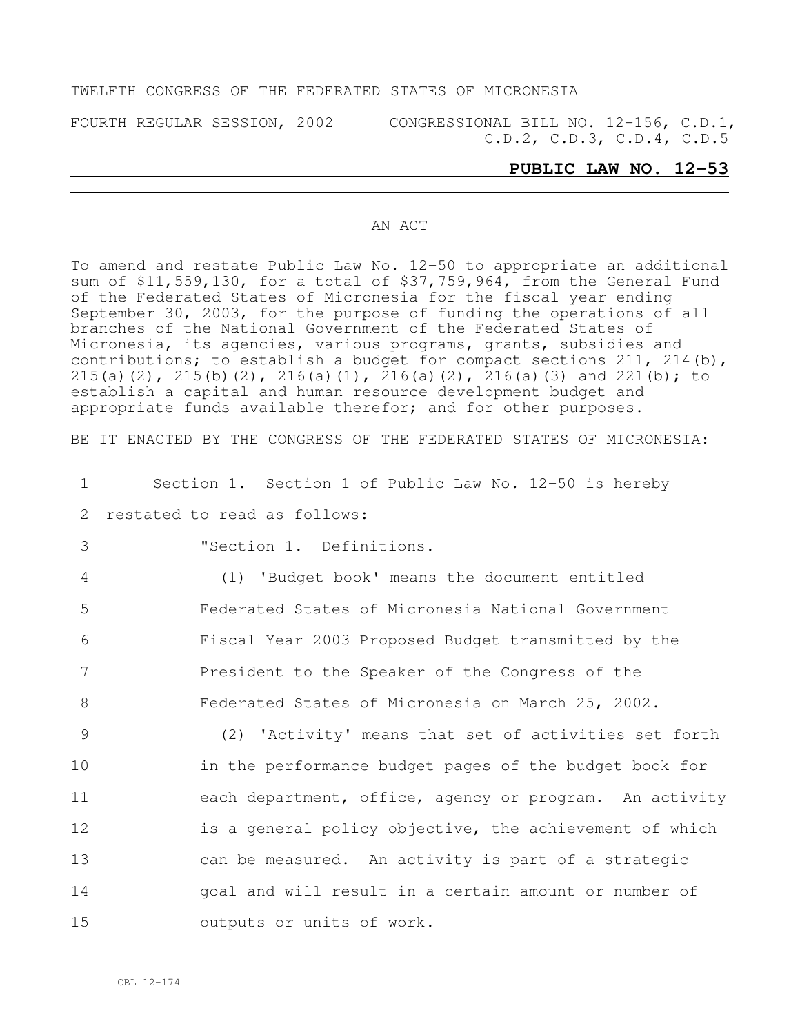#### TWELFTH CONGRESS OF THE FEDERATED STATES OF MICRONESIA

FOURTH REGULAR SESSION, 2002 CONGRESSIONAL BILL NO. 12-156, C.D.1, C.D.2, C.D.3, C.D.4, C.D.5

### **PUBLIC LAW NO. 12-53**

#### AN ACT

To amend and restate Public Law No. 12-50 to appropriate an additional sum of \$11,559,130, for a total of \$37,759,964, from the General Fund of the Federated States of Micronesia for the fiscal year ending September 30, 2003, for the purpose of funding the operations of all branches of the National Government of the Federated States of Micronesia, its agencies, various programs, grants, subsidies and contributions; to establish a budget for compact sections 211, 214(b), 215(a)(2), 215(b)(2), 216(a)(1), 216(a)(2), 216(a)(3) and 221(b); to establish a capital and human resource development budget and appropriate funds available therefor; and for other purposes.

BE IT ENACTED BY THE CONGRESS OF THE FEDERATED STATES OF MICRONESIA:

| $\mathbf{1}$ | Section 1. Section 1 of Public Law No. 12-50 is hereby  |
|--------------|---------------------------------------------------------|
| 2            | restated to read as follows:                            |
| 3            | "Section 1. Definitions.                                |
| 4            | (1) 'Budget book' means the document entitled           |
| 5            | Federated States of Micronesia National Government      |
| 6            | Fiscal Year 2003 Proposed Budget transmitted by the     |
| 7            | President to the Speaker of the Congress of the         |
| 8            | Federated States of Micronesia on March 25, 2002.       |
| 9            | (2) 'Activity' means that set of activities set forth   |
| 10           | in the performance budget pages of the budget book for  |
| 11           | each department, office, agency or program. An activity |
| 12           | is a general policy objective, the achievement of which |
| 13           | can be measured. An activity is part of a strategic     |
| 14           | goal and will result in a certain amount or number of   |
| 15           | outputs or units of work.                               |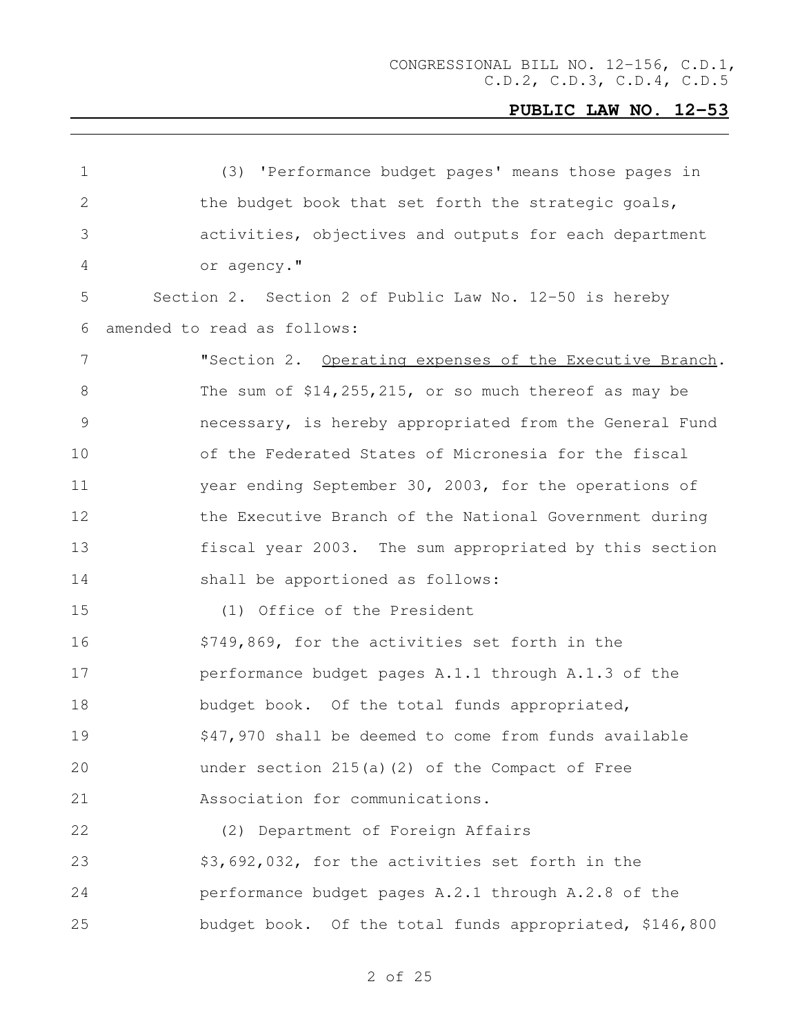| $\mathbf 1$     | (3) 'Performance budget pages' means those pages in     |
|-----------------|---------------------------------------------------------|
| $\mathbf{2}$    | the budget book that set forth the strategic goals,     |
| 3               | activities, objectives and outputs for each department  |
| 4               | or agency."                                             |
| 5               | Section 2. Section 2 of Public Law No. 12-50 is hereby  |
| 6               | amended to read as follows:                             |
| $7\phantom{.0}$ | "Section 2. Operating expenses of the Executive Branch. |
| 8               | The sum of $$14,255,215$ , or so much thereof as may be |
| 9               | necessary, is hereby appropriated from the General Fund |
| 10              | of the Federated States of Micronesia for the fiscal    |
| 11              | year ending September 30, 2003, for the operations of   |
| 12              | the Executive Branch of the National Government during  |
| 13              | fiscal year 2003. The sum appropriated by this section  |
| 14              | shall be apportioned as follows:                        |
| 15              | (1) Office of the President                             |
| 16              | \$749,869, for the activities set forth in the          |
| 17              | performance budget pages A.1.1 through A.1.3 of the     |
| 18              | budget book. Of the total funds appropriated,           |
| 19              | \$47,970 shall be deemed to come from funds available   |
| 20              | under section 215(a)(2) of the Compact of Free          |
| 21              | Association for communications.                         |
| 22              | (2) Department of Foreign Affairs                       |
| 23              | \$3,692,032, for the activities set forth in the        |
| 24              | performance budget pages A.2.1 through A.2.8 of the     |
| 25              | budget book. Of the total funds appropriated, \$146,800 |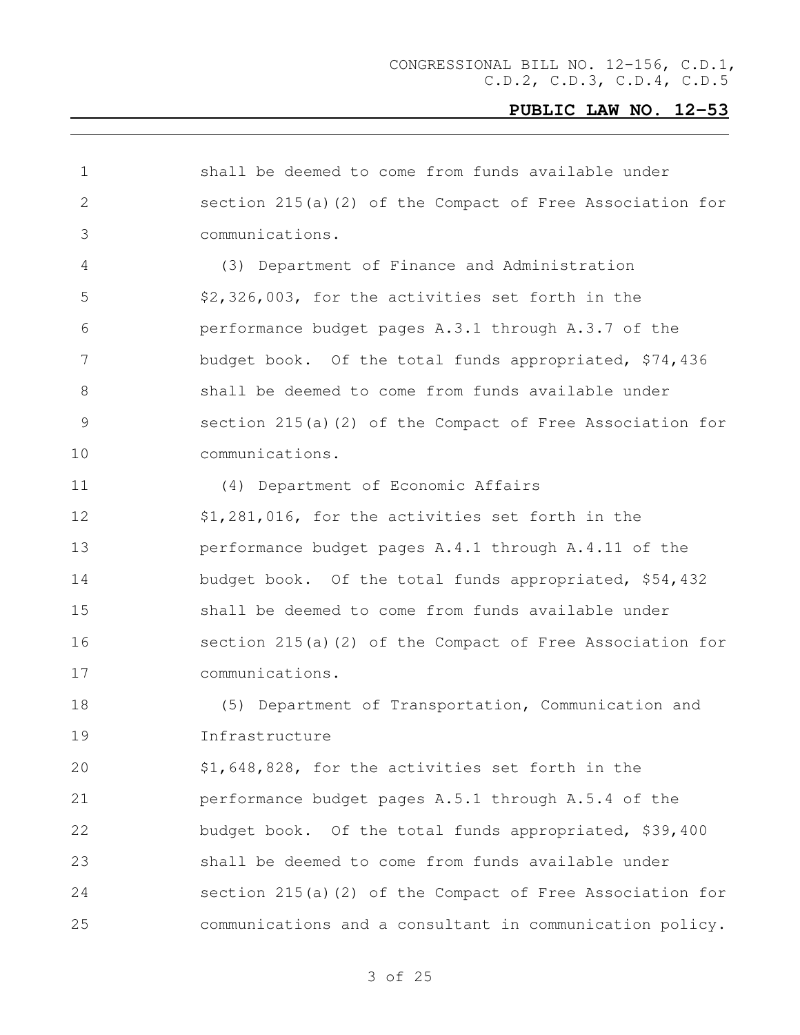| $\mathbf{2}$<br>section $215(a)$ (2) of the Compact of Free Association for<br>3<br>communications.<br>4<br>(3) Department of Finance and Administration<br>5<br>\$2,326,003, for the activities set forth in the<br>6<br>performance budget pages A.3.1 through A.3.7 of the<br>7<br>budget book. Of the total funds appropriated, \$74,436<br>8<br>shall be deemed to come from funds available under<br>9<br>section $215(a)$ (2) of the Compact of Free Association for<br>10<br>communications. |  |
|------------------------------------------------------------------------------------------------------------------------------------------------------------------------------------------------------------------------------------------------------------------------------------------------------------------------------------------------------------------------------------------------------------------------------------------------------------------------------------------------------|--|
|                                                                                                                                                                                                                                                                                                                                                                                                                                                                                                      |  |
|                                                                                                                                                                                                                                                                                                                                                                                                                                                                                                      |  |
|                                                                                                                                                                                                                                                                                                                                                                                                                                                                                                      |  |
|                                                                                                                                                                                                                                                                                                                                                                                                                                                                                                      |  |
|                                                                                                                                                                                                                                                                                                                                                                                                                                                                                                      |  |
|                                                                                                                                                                                                                                                                                                                                                                                                                                                                                                      |  |
|                                                                                                                                                                                                                                                                                                                                                                                                                                                                                                      |  |
|                                                                                                                                                                                                                                                                                                                                                                                                                                                                                                      |  |
|                                                                                                                                                                                                                                                                                                                                                                                                                                                                                                      |  |
| 11<br>(4) Department of Economic Affairs                                                                                                                                                                                                                                                                                                                                                                                                                                                             |  |
| 12<br>\$1,281,016, for the activities set forth in the                                                                                                                                                                                                                                                                                                                                                                                                                                               |  |
| 13<br>performance budget pages A.4.1 through A.4.11 of the                                                                                                                                                                                                                                                                                                                                                                                                                                           |  |
| 14<br>budget book. Of the total funds appropriated, \$54,432                                                                                                                                                                                                                                                                                                                                                                                                                                         |  |
| 15<br>shall be deemed to come from funds available under                                                                                                                                                                                                                                                                                                                                                                                                                                             |  |
| 16<br>section $215(a)$ (2) of the Compact of Free Association for                                                                                                                                                                                                                                                                                                                                                                                                                                    |  |
| 17<br>communications.                                                                                                                                                                                                                                                                                                                                                                                                                                                                                |  |
| 18<br>(5) Department of Transportation, Communication and                                                                                                                                                                                                                                                                                                                                                                                                                                            |  |
| 19<br>Infrastructure                                                                                                                                                                                                                                                                                                                                                                                                                                                                                 |  |
| 20<br>\$1,648,828, for the activities set forth in the                                                                                                                                                                                                                                                                                                                                                                                                                                               |  |
| 21<br>performance budget pages A.5.1 through A.5.4 of the                                                                                                                                                                                                                                                                                                                                                                                                                                            |  |
| 22<br>budget book. Of the total funds appropriated, \$39,400                                                                                                                                                                                                                                                                                                                                                                                                                                         |  |
| 23<br>shall be deemed to come from funds available under                                                                                                                                                                                                                                                                                                                                                                                                                                             |  |
| 24<br>section $215(a)$ (2) of the Compact of Free Association for                                                                                                                                                                                                                                                                                                                                                                                                                                    |  |
| 25<br>communications and a consultant in communication policy.                                                                                                                                                                                                                                                                                                                                                                                                                                       |  |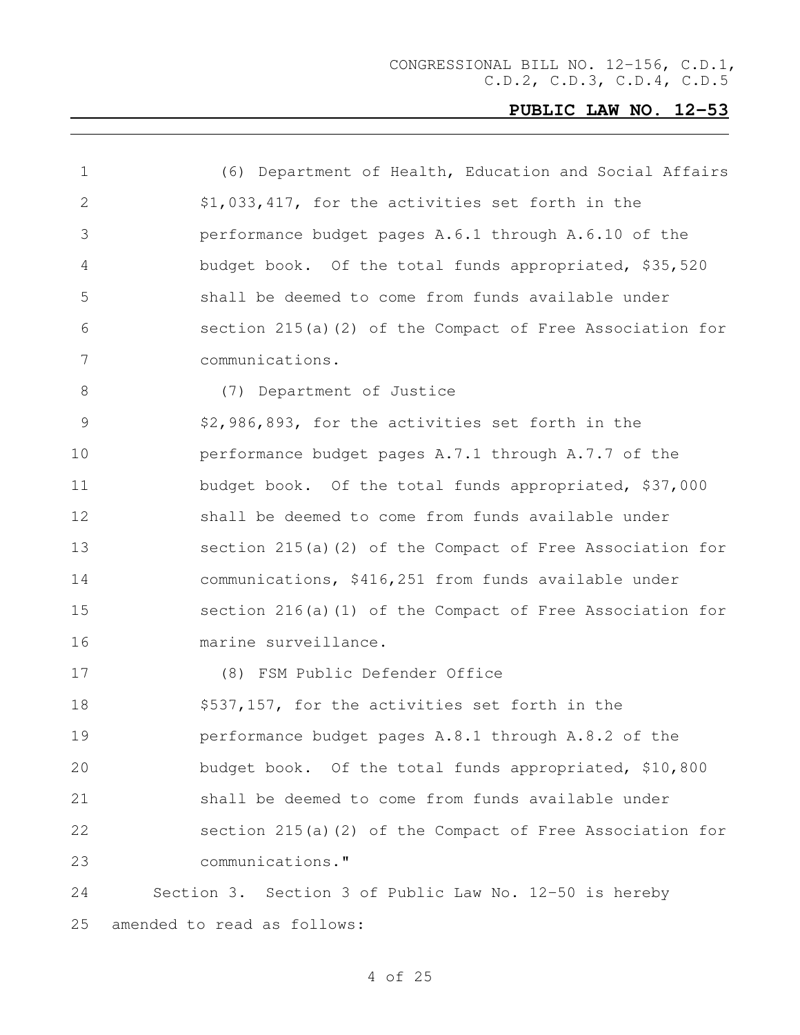| $\mathbf 1$ | (6) Department of Health, Education and Social Affairs      |
|-------------|-------------------------------------------------------------|
| 2           | \$1,033,417, for the activities set forth in the            |
| 3           | performance budget pages A.6.1 through A.6.10 of the        |
| 4           | budget book. Of the total funds appropriated, \$35,520      |
| 5           | shall be deemed to come from funds available under          |
| 6           | section $215(a)$ (2) of the Compact of Free Association for |
| 7           | communications.                                             |
| 8           | (7) Department of Justice                                   |
| 9           | \$2,986,893, for the activities set forth in the            |
| 10          | performance budget pages A.7.1 through A.7.7 of the         |
| 11          | budget book. Of the total funds appropriated, \$37,000      |
| 12          | shall be deemed to come from funds available under          |
| 13          | section $215(a)$ (2) of the Compact of Free Association for |
| 14          | communications, \$416,251 from funds available under        |
| 15          | section $216(a)$ (1) of the Compact of Free Association for |
| 16          | marine surveillance.                                        |
| 17          | (8) FSM Public Defender Office                              |
| 18          | \$537,157, for the activities set forth in the              |
| 19          | performance budget pages A.8.1 through A.8.2 of the         |
| 20          | budget book. Of the total funds appropriated, \$10,800      |
| 21          | shall be deemed to come from funds available under          |
| 22          | section 215(a)(2) of the Compact of Free Association for    |
| 23          | communications."                                            |
| 24          | Section 3. Section 3 of Public Law No. 12-50 is hereby      |
| 25          | amended to read as follows:                                 |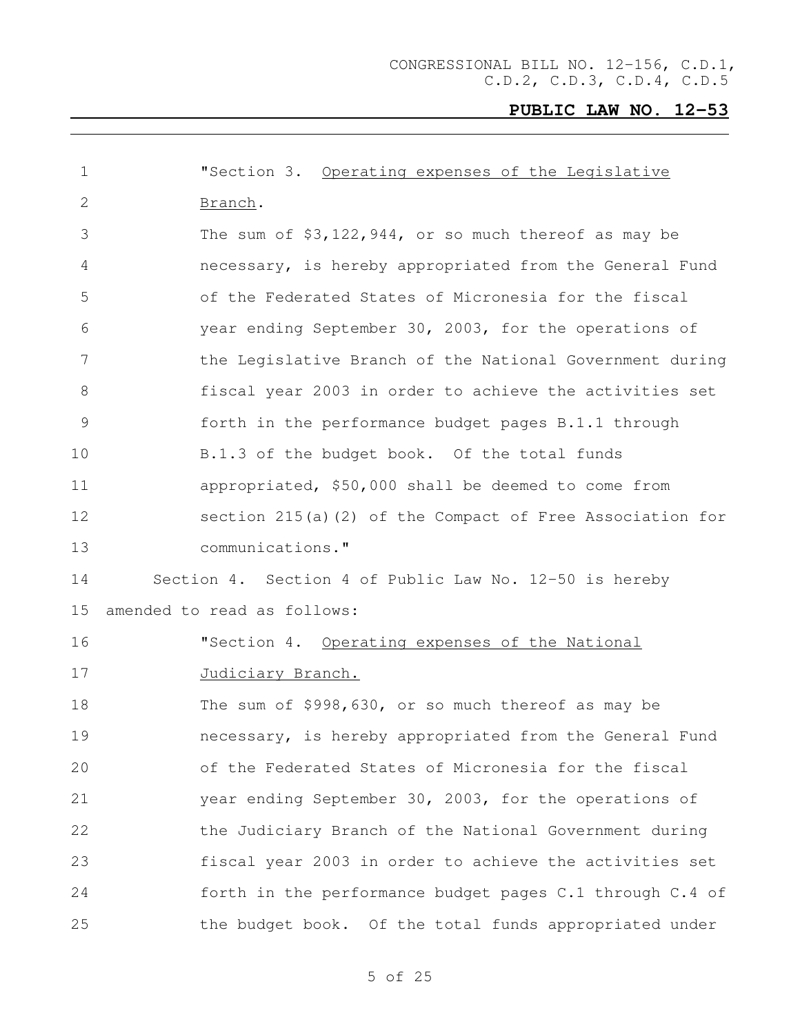| 1               | "Section 3. Operating expenses of the Legislative           |  |
|-----------------|-------------------------------------------------------------|--|
| 2               | Branch.                                                     |  |
| 3               | The sum of $$3,122,944$ , or so much thereof as may be      |  |
| 4               | necessary, is hereby appropriated from the General Fund     |  |
| 5               | of the Federated States of Micronesia for the fiscal        |  |
| 6               | year ending September 30, 2003, for the operations of       |  |
| $7\phantom{.0}$ | the Legislative Branch of the National Government during    |  |
| 8               | fiscal year 2003 in order to achieve the activities set     |  |
| 9               | forth in the performance budget pages B.1.1 through         |  |
| 10              | B.1.3 of the budget book. Of the total funds                |  |
|                 |                                                             |  |
| 11              | appropriated, \$50,000 shall be deemed to come from         |  |
| 12              | section $215(a)$ (2) of the Compact of Free Association for |  |
| 13              | communications."                                            |  |
| 14              | Section 4. Section 4 of Public Law No. 12-50 is hereby      |  |
| 15              | amended to read as follows:                                 |  |
| 16              | "Section 4. Operating expenses of the National              |  |
| 17              | Judiciary Branch.                                           |  |
| 18              | The sum of \$998,630, or so much thereof as may be          |  |
| 19              | necessary, is hereby appropriated from the General Fund     |  |
| 20              | of the Federated States of Micronesia for the fiscal        |  |
| 21              | year ending September 30, 2003, for the operations of       |  |
| 22              | the Judiciary Branch of the National Government during      |  |
| 23              | fiscal year 2003 in order to achieve the activities set     |  |
| 24              | forth in the performance budget pages C.1 through C.4 of    |  |
| 25              | the budget book. Of the total funds appropriated under      |  |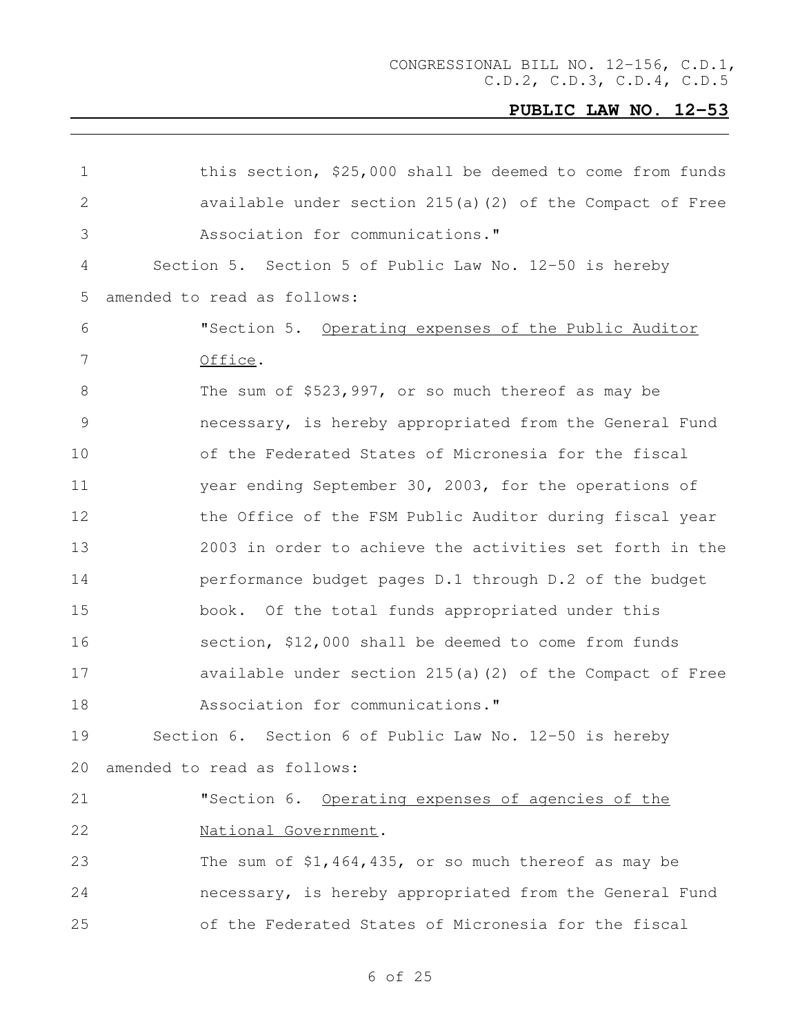| this section, \$25,000 shall be deemed to come from funds   |
|-------------------------------------------------------------|
| available under section $215(a)$ (2) of the Compact of Free |
| Association for communications."                            |
| Section 5. Section 5 of Public Law No. 12-50 is hereby      |
| amended to read as follows:                                 |
| "Section 5. Operating expenses of the Public Auditor        |
| Office.                                                     |
| The sum of $$523,997$ , or so much thereof as may be        |
| necessary, is hereby appropriated from the General Fund     |
| of the Federated States of Micronesia for the fiscal        |
| year ending September 30, 2003, for the operations of       |
| the Office of the FSM Public Auditor during fiscal year     |
| 2003 in order to achieve the activities set forth in the    |
| performance budget pages D.1 through D.2 of the budget      |
| book. Of the total funds appropriated under this            |
| section, \$12,000 shall be deemed to come from funds        |
| available under section $215(a)$ (2) of the Compact of Free |
| Association for communications."                            |
| Section 6. Section 6 of Public Law No. 12-50 is hereby      |
| amended to read as follows:                                 |
| "Section 6. Operating expenses of agencies of the           |
| National Government.                                        |
| The sum of $$1,464,435$ , or so much thereof as may be      |
| necessary, is hereby appropriated from the General Fund     |
| of the Federated States of Micronesia for the fiscal        |
|                                                             |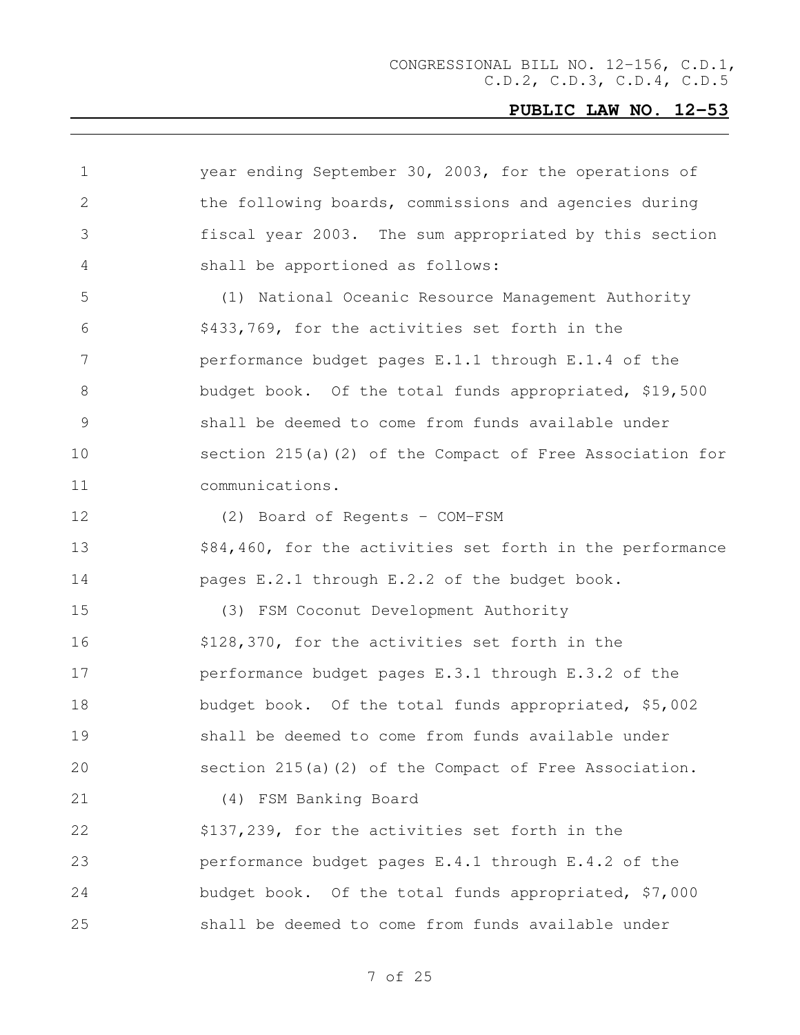| $\mathbf 1$ | year ending September 30, 2003, for the operations of       |
|-------------|-------------------------------------------------------------|
| 2           | the following boards, commissions and agencies during       |
| 3           | fiscal year 2003. The sum appropriated by this section      |
| 4           | shall be apportioned as follows:                            |
| 5           | (1) National Oceanic Resource Management Authority          |
| 6           | \$433,769, for the activities set forth in the              |
| 7           | performance budget pages E.1.1 through E.1.4 of the         |
| 8           | budget book. Of the total funds appropriated, \$19,500      |
| 9           | shall be deemed to come from funds available under          |
| 10          | section $215(a)$ (2) of the Compact of Free Association for |
| 11          | communications.                                             |
| 12          | (2) Board of Regents - COM-FSM                              |
| 13          | \$84,460, for the activities set forth in the performance   |
| 14          | pages E.2.1 through E.2.2 of the budget book.               |
| 15          | (3) FSM Coconut Development Authority                       |
| 16          | \$128,370, for the activities set forth in the              |
| 17          | performance budget pages E.3.1 through E.3.2 of the         |
| 18          | budget book. Of the total funds appropriated, \$5,002       |
| 19          | shall be deemed to come from funds available under          |
| 20          | section $215(a)$ (2) of the Compact of Free Association.    |
| 21          | (4) FSM Banking Board                                       |
| 22          | \$137,239, for the activities set forth in the              |
| 23          | performance budget pages E.4.1 through E.4.2 of the         |
| 24          | budget book. Of the total funds appropriated, \$7,000       |
| 25          | shall be deemed to come from funds available under          |
|             |                                                             |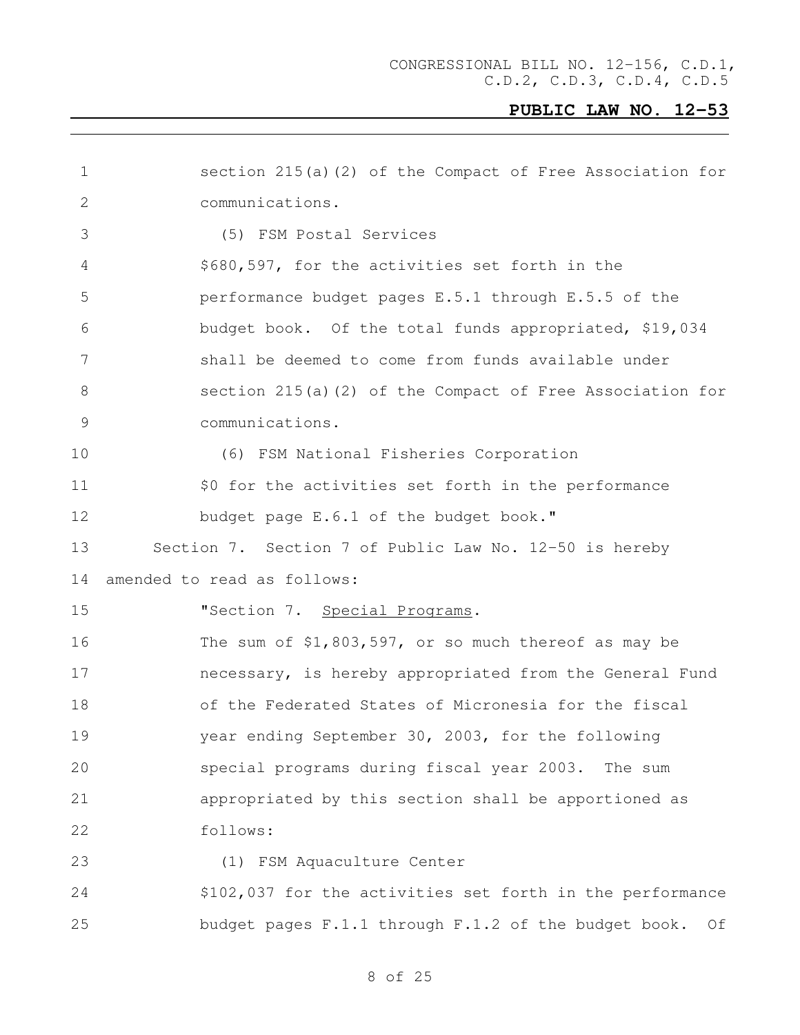| $\mathbf 1$ | section $215(a)$ (2) of the Compact of Free Association for |
|-------------|-------------------------------------------------------------|
| 2           | communications.                                             |
| 3           | (5) FSM Postal Services                                     |
| 4           | \$680,597, for the activities set forth in the              |
| 5           | performance budget pages E.5.1 through E.5.5 of the         |
| 6           | budget book. Of the total funds appropriated, \$19,034      |
| 7           | shall be deemed to come from funds available under          |
| 8           | section $215(a)$ (2) of the Compact of Free Association for |
| 9           | communications.                                             |
| 10          | (6) FSM National Fisheries Corporation                      |
| 11          | \$0 for the activities set forth in the performance         |
| 12          | budget page E.6.1 of the budget book."                      |
| 13          | Section 7. Section 7 of Public Law No. 12-50 is hereby      |
| 14          | amended to read as follows:                                 |
| 15          | "Section 7. Special Programs.                               |
| 16          | The sum of $$1,803,597$ , or so much thereof as may be      |
| 17          | necessary, is hereby appropriated from the General Fund     |
| 18          | of the Federated States of Micronesia for the fiscal        |
| 19          | year ending September 30, 2003, for the following           |
| 20          | special programs during fiscal year 2003. The sum           |
| 21          | appropriated by this section shall be apportioned as        |
| 22          | follows:                                                    |
| 23          | (1) FSM Aquaculture Center                                  |
| 24          | \$102,037 for the activities set forth in the performance   |
| 25          | budget pages F.1.1 through F.1.2 of the budget book.<br>Of  |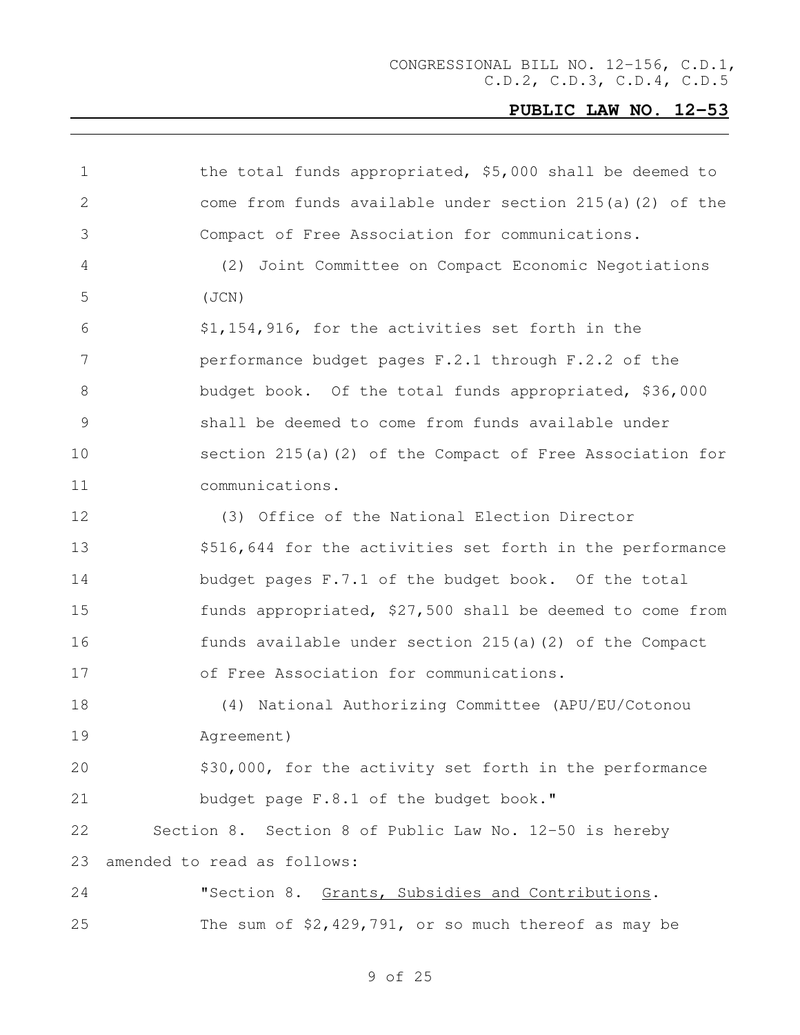| $\mathbf 1$  | the total funds appropriated, \$5,000 shall be deemed to    |
|--------------|-------------------------------------------------------------|
| $\mathbf{2}$ | come from funds available under section 215(a)(2) of the    |
| 3            | Compact of Free Association for communications.             |
| 4            | (2) Joint Committee on Compact Economic Negotiations        |
| 5            | (JCN)                                                       |
| 6            | \$1,154,916, for the activities set forth in the            |
| 7            | performance budget pages F.2.1 through F.2.2 of the         |
| 8            | budget book. Of the total funds appropriated, \$36,000      |
| $\mathsf 9$  | shall be deemed to come from funds available under          |
| 10           | section $215(a)$ (2) of the Compact of Free Association for |
| 11           | communications.                                             |
| 12           | (3) Office of the National Election Director                |
| 13           | \$516,644 for the activities set forth in the performance   |
| 14           | budget pages F.7.1 of the budget book. Of the total         |
| 15           | funds appropriated, \$27,500 shall be deemed to come from   |
| 16           | funds available under section 215(a)(2) of the Compact      |
| 17           | of Free Association for communications.                     |
| 18           | (4) National Authorizing Committee (APU/EU/Cotonou          |
| 19           | Agreement)                                                  |
| 20           | \$30,000, for the activity set forth in the performance     |
| 21           | budget page F.8.1 of the budget book."                      |
| 22           | Section 8. Section 8 of Public Law No. 12-50 is hereby      |
| 23           | amended to read as follows:                                 |
| 24           | "Section 8. Grants, Subsidies and Contributions.            |
| 25           | The sum of \$2,429,791, or so much thereof as may be        |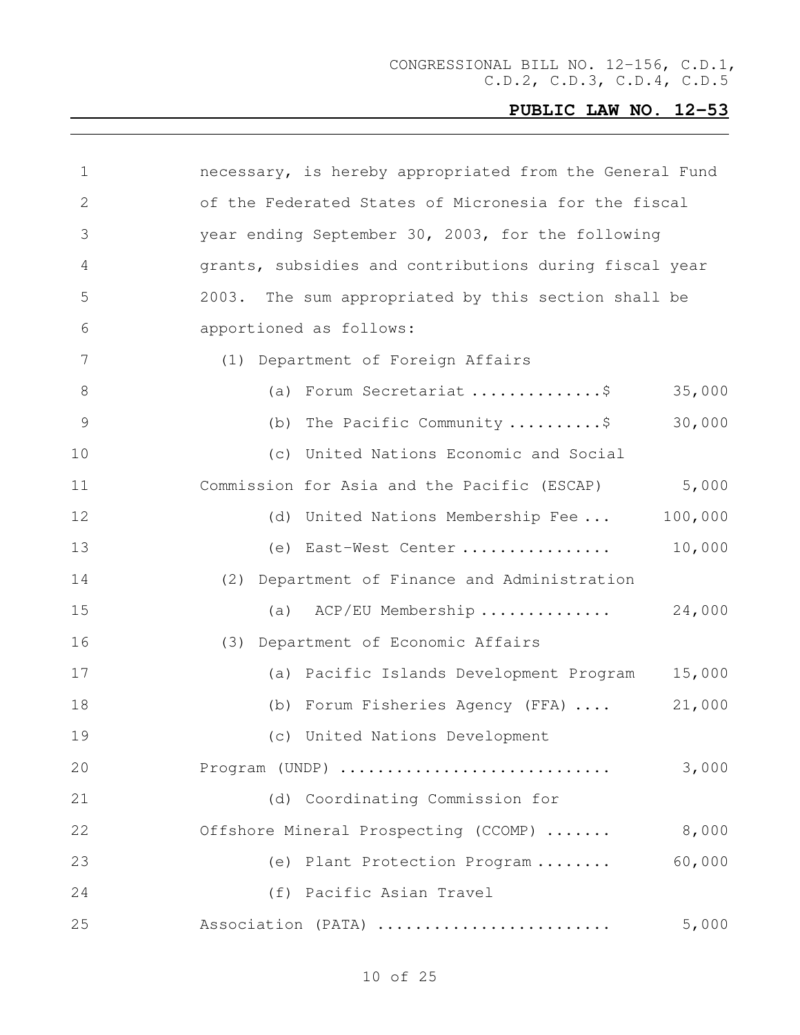| $\mathbf 1$     | necessary, is hereby appropriated from the General Fund     |
|-----------------|-------------------------------------------------------------|
| 2               | of the Federated States of Micronesia for the fiscal        |
| 3               | year ending September 30, 2003, for the following           |
| 4               | grants, subsidies and contributions during fiscal year      |
| 5               | 2003. The sum appropriated by this section shall be         |
| 6               | apportioned as follows:                                     |
| $7\phantom{.0}$ | (1) Department of Foreign Affairs                           |
| $8\,$           | (a) Forum Secretariat \$<br>35,000                          |
| $\mathsf 9$     | 30,000<br>(b) The Pacific Community $\ldots \ldots \hat{S}$ |
| 10              | (c) United Nations Economic and Social                      |
| 11              | 5,000<br>Commission for Asia and the Pacific (ESCAP)        |
| 12              | 100,000<br>(d) United Nations Membership Fee                |
| 13              | 10,000<br>(e) East-West Center                              |
| 14              | (2) Department of Finance and Administration                |
| 15              | (a) ACP/EU Membership<br>24,000                             |
| 16              | (3) Department of Economic Affairs                          |
| 17              | 15,000<br>(a) Pacific Islands Development Program           |
| 18              | (b) Forum Fisheries Agency (FFA)<br>21,000                  |
| 19              | (c) United Nations Development                              |
| 20              | Program (UNDP)<br>3,000                                     |
| 21              | (d) Coordinating Commission for                             |
| 22              | 8,000<br>Offshore Mineral Prospecting (CCOMP)               |
| 23              | 60,000<br>(e) Plant Protection Program                      |
| 24              | (f) Pacific Asian Travel                                    |
| 25              | Association (PATA)<br>5,000                                 |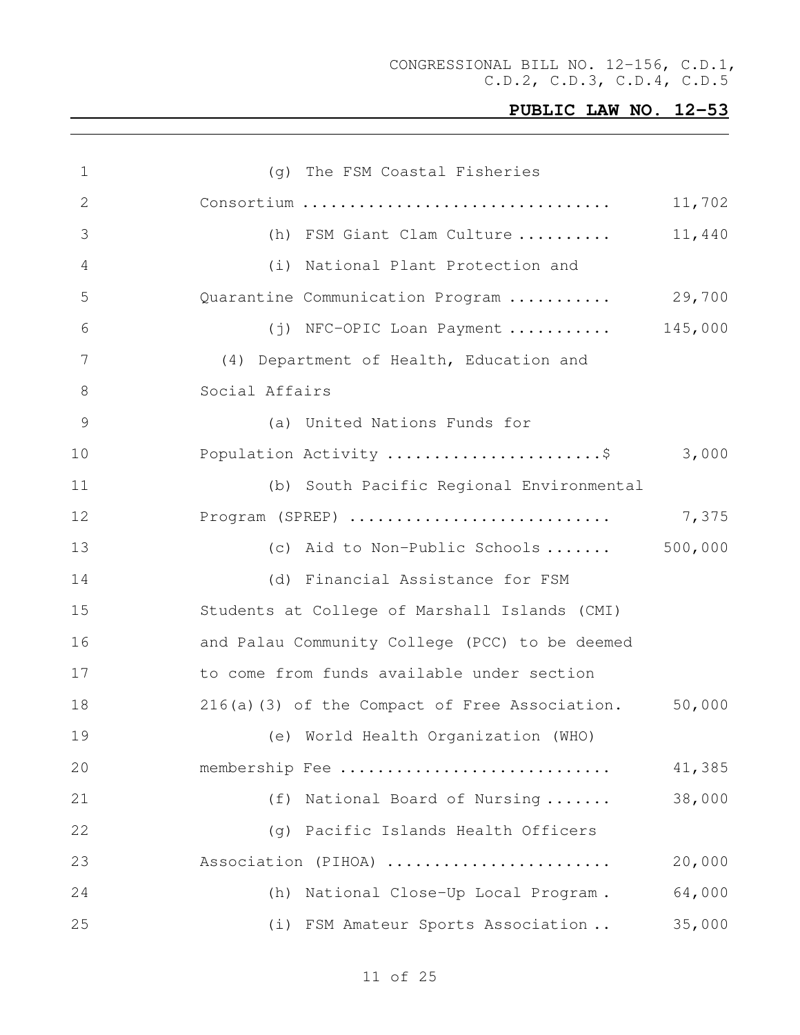| 1  | (g) The FSM Coastal Fisheries                  |        |
|----|------------------------------------------------|--------|
| 2  |                                                | 11,702 |
| 3  | (h) FSM Giant Clam Culture                     | 11,440 |
| 4  | National Plant Protection and<br>(i)           |        |
| 5  | Quarantine Communication Program               | 29,700 |
| 6  | (j) NFC-OPIC Loan Payment  145,000             |        |
| 7  | (4) Department of Health, Education and        |        |
| 8  | Social Affairs                                 |        |
| 9  | (a) United Nations Funds for                   |        |
| 10 | Population Activity \$ 3,000                   |        |
| 11 | (b) South Pacific Regional Environmental       |        |
| 12 | Program (SPREP)                                | 7,375  |
| 13 | (c) Aid to Non-Public Schools $500,000$        |        |
| 14 | (d) Financial Assistance for FSM               |        |
| 15 | Students at College of Marshall Islands (CMI)  |        |
| 16 | and Palau Community College (PCC) to be deemed |        |
| 17 | to come from funds available under section     |        |
| 18 | 216(a)(3) of the Compact of Free Association.  | 50,000 |
| 19 | (e) World Health Organization (WHO)            |        |
| 20 | membership Fee                                 | 41,385 |
| 21 | (f) National Board of Nursing                  | 38,000 |
| 22 | (q) Pacific Islands Health Officers            |        |
| 23 | Association (PIHOA)                            | 20,000 |
| 24 | (h) National Close-Up Local Program.           | 64,000 |
| 25 | (i) FSM Amateur Sports Association             | 35,000 |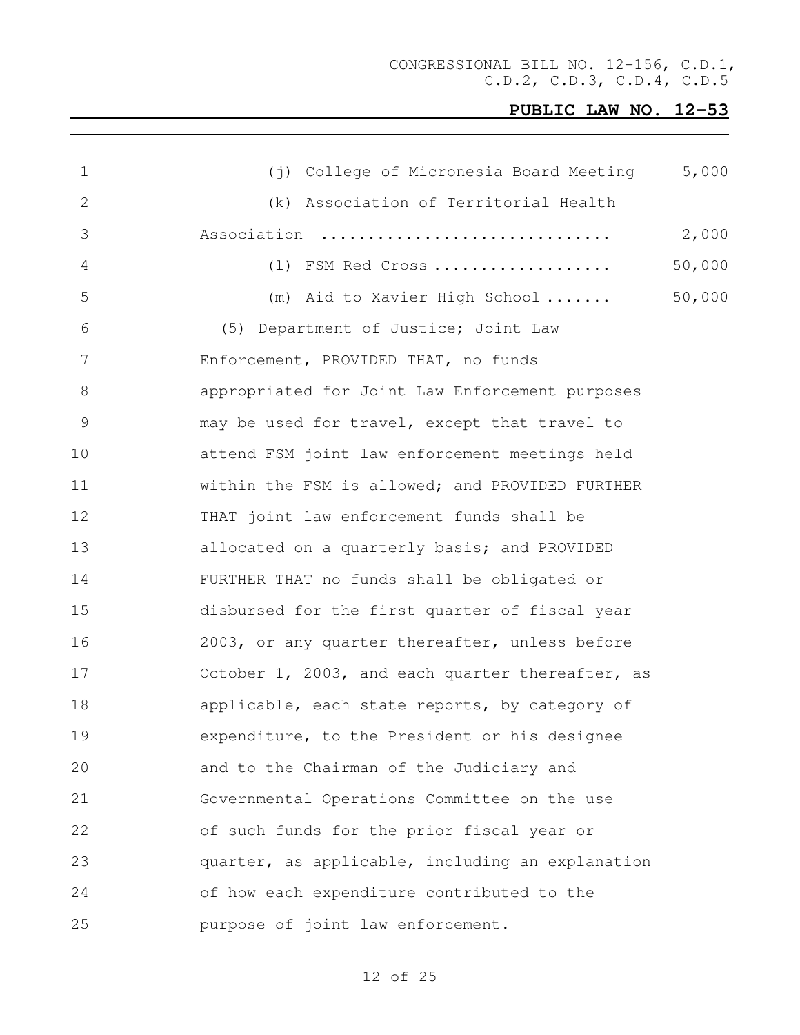CONGRESSIONAL BILL NO. 12-156, C.D.1, C.D.2, C.D.3, C.D.4, C.D.5

| $\mathbf 1$  | (j) College of Micronesia Board Meeting          | 5,000  |
|--------------|--------------------------------------------------|--------|
| $\mathbf{2}$ | (k) Association of Territorial Health            |        |
| 3            | Association                                      | 2,000  |
| 4            | (1) FSM Red Cross                                | 50,000 |
| 5            | (m) Aid to Xavier High School                    | 50,000 |
| 6            | (5) Department of Justice; Joint Law             |        |
| 7            | Enforcement, PROVIDED THAT, no funds             |        |
| 8            | appropriated for Joint Law Enforcement purposes  |        |
| 9            | may be used for travel, except that travel to    |        |
| 10           | attend FSM joint law enforcement meetings held   |        |
| 11           | within the FSM is allowed; and PROVIDED FURTHER  |        |
| 12           | THAT joint law enforcement funds shall be        |        |
| 13           | allocated on a quarterly basis; and PROVIDED     |        |
| 14           | FURTHER THAT no funds shall be obligated or      |        |
| 15           | disbursed for the first quarter of fiscal year   |        |
| 16           | 2003, or any quarter thereafter, unless before   |        |
| 17           | October 1, 2003, and each quarter thereafter, as |        |
| 18           | applicable, each state reports, by category of   |        |
| 19           | expenditure, to the President or his designee    |        |
| 20           | and to the Chairman of the Judiciary and         |        |
| 21           | Governmental Operations Committee on the use     |        |
| 22           | of such funds for the prior fiscal year or       |        |
| 23           | quarter, as applicable, including an explanation |        |
| 24           | of how each expenditure contributed to the       |        |
| 25           | purpose of joint law enforcement.                |        |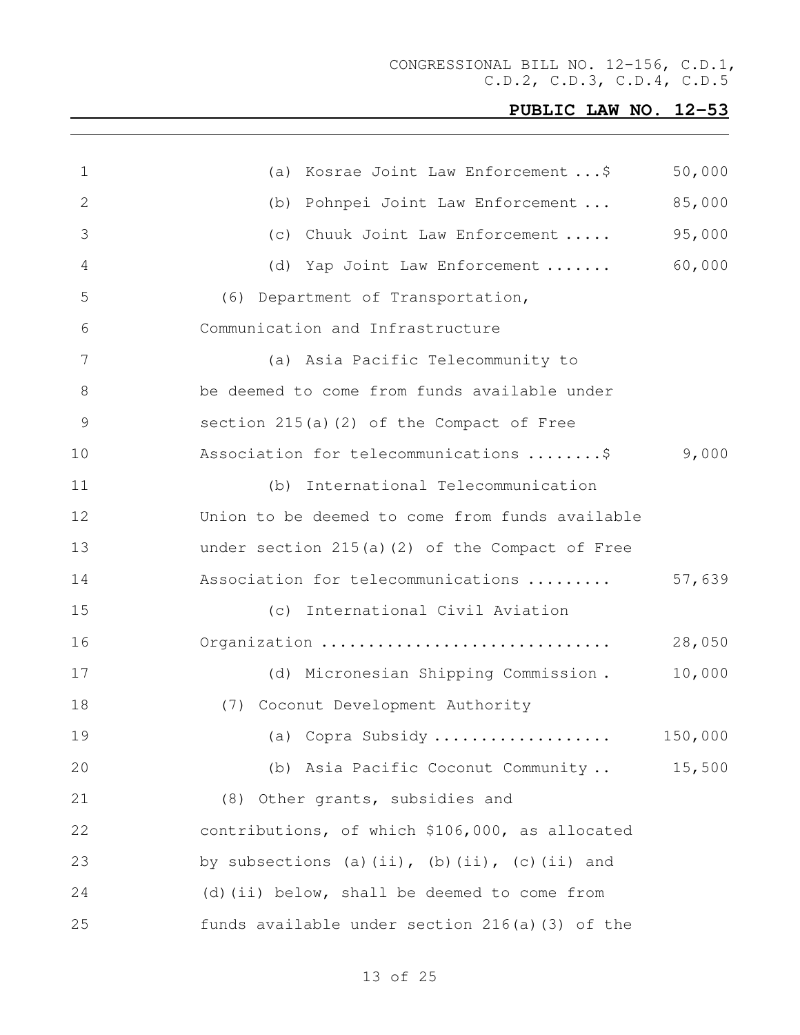CONGRESSIONAL BILL NO. 12-156, C.D.1, C.D.2, C.D.3, C.D.4, C.D.5

| 1  | Kosrae Joint Law Enforcement \$<br>(a)          | 50,000  |
|----|-------------------------------------------------|---------|
| 2  | Pohnpei Joint Law Enforcement<br>(b)            | 85,000  |
| 3  | Chuuk Joint Law Enforcement<br>(C)              | 95,000  |
| 4  | Yap Joint Law Enforcement<br>(d)                | 60,000  |
| 5  | (6) Department of Transportation,               |         |
| 6  | Communication and Infrastructure                |         |
| 7  | (a) Asia Pacific Telecommunity to               |         |
| 8  | be deemed to come from funds available under    |         |
| 9  | section 215(a)(2) of the Compact of Free        |         |
| 10 | Association for telecommunications \$           | 9,000   |
| 11 | International Telecommunication<br>(b)          |         |
| 12 | Union to be deemed to come from funds available |         |
| 13 | under section 215(a)(2) of the Compact of Free  |         |
| 14 | Association for telecommunications              | 57,639  |
| 15 | International Civil Aviation<br>(C)             |         |
| 16 | Organization                                    | 28,050  |
| 17 | (d) Micronesian Shipping Commission.            | 10,000  |
| 18 | (7) Coconut Development Authority               |         |
| 19 | (a) Copra Subsidy                               | 150,000 |
| 20 | (b) Asia Pacific Coconut Community              | 15,500  |
| 21 | (8) Other grants, subsidies and                 |         |
| 22 | contributions, of which \$106,000, as allocated |         |
| 23 | by subsections (a)(ii), (b)(ii), (c)(ii) and    |         |
| 24 | (d) (ii) below, shall be deemed to come from    |         |
| 25 | funds available under section 216(a)(3) of the  |         |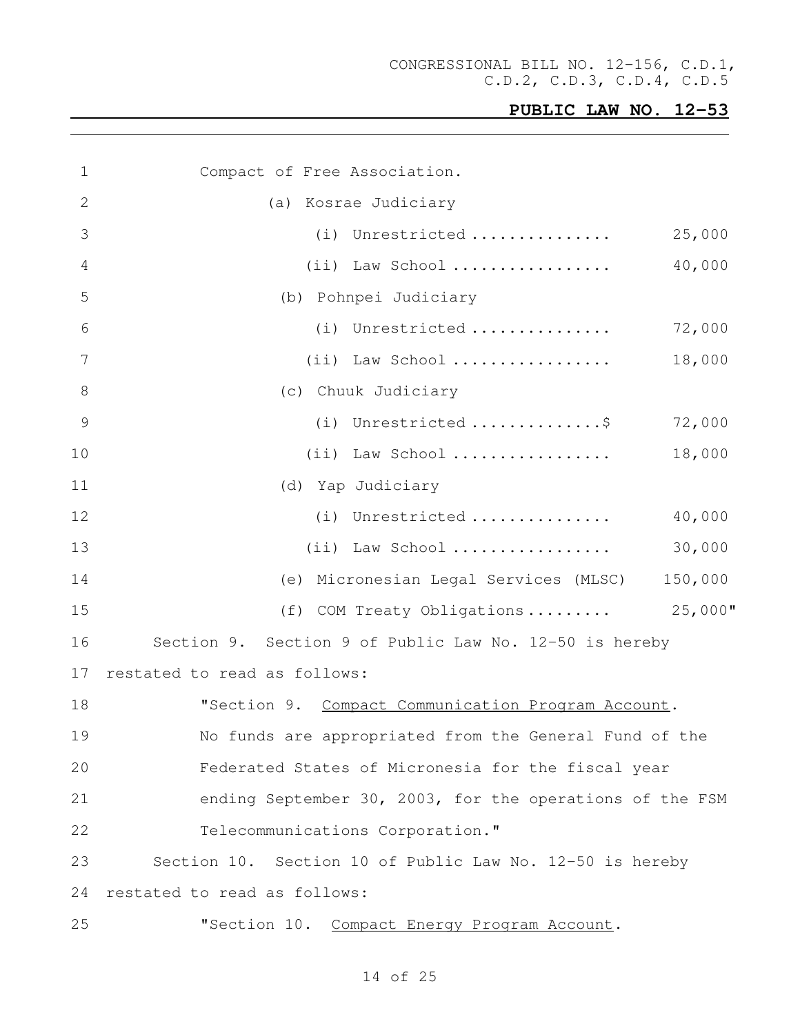| $\mathbf 1$     | Compact of Free Association.                             |  |
|-----------------|----------------------------------------------------------|--|
| 2               | (a) Kosrae Judiciary                                     |  |
| 3               | (i) Unrestricted<br>25,000                               |  |
| 4               | 40,000<br>$(i)$ Law School                               |  |
| 5               | (b) Pohnpei Judiciary                                    |  |
| 6               | (i) Unrestricted<br>72,000                               |  |
| $7\phantom{.0}$ | $(i)$ Law School<br>18,000                               |  |
| 8               | (c) Chuuk Judiciary                                      |  |
| $\mathcal{G}$   | (i) Unrestricted \$<br>72,000                            |  |
| 10              | $(i)$ Law School<br>18,000                               |  |
| 11              | (d) Yap Judiciary                                        |  |
| 12              | (i) Unrestricted<br>40,000                               |  |
| 13              | 30,000<br>$(i)$ Law School                               |  |
| 14              | (e) Micronesian Legal Services (MLSC)<br>150,000         |  |
| 15              | $25,000$ "<br>(f) COM Treaty Obligations                 |  |
| 16              | Section 9. Section 9 of Public Law No. 12-50 is hereby   |  |
| 17              | restated to read as follows:                             |  |
| 18              | "Section 9. Compact Communication Program Account.       |  |
| 19              | No funds are appropriated from the General Fund of the   |  |
| 20              | Federated States of Micronesia for the fiscal year       |  |
| 21              | ending September 30, 2003, for the operations of the FSM |  |
| 22              | Telecommunications Corporation."                         |  |
| 23              | Section 10. Section 10 of Public Law No. 12-50 is hereby |  |
| 24              | restated to read as follows:                             |  |
| 25              | "Section 10. Compact Energy Program Account.             |  |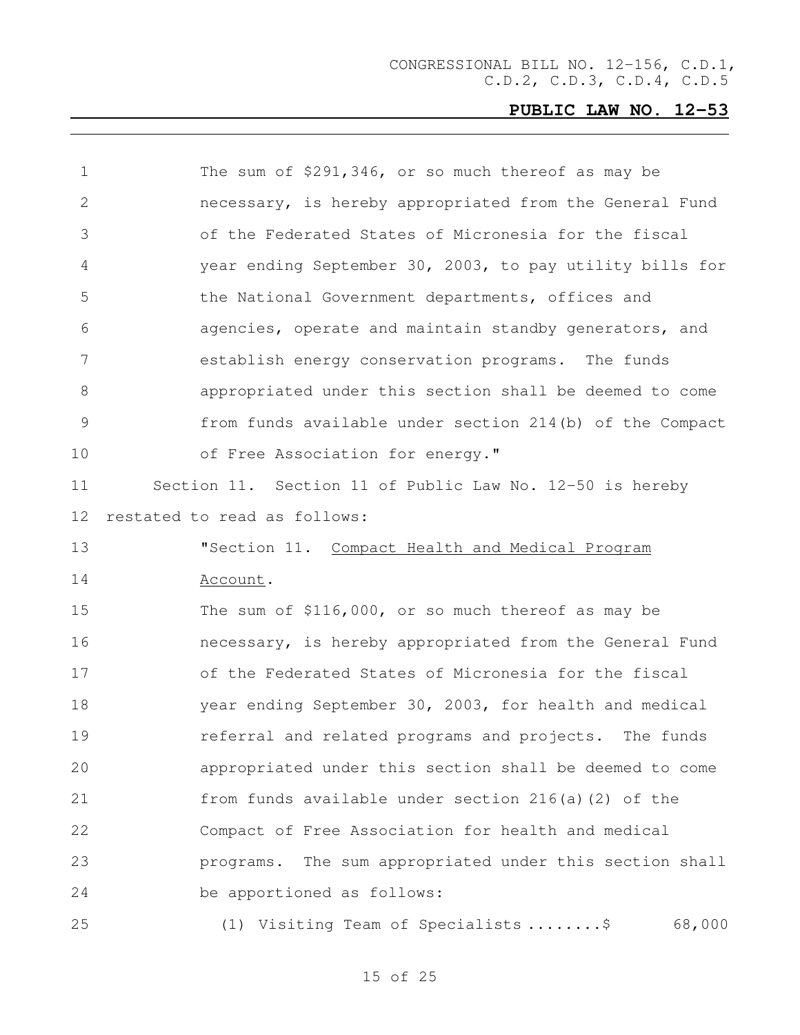| $\mathbf 1$    | The sum of \$291,346, or so much thereof as may be       |
|----------------|----------------------------------------------------------|
| $\mathbf{2}$   | necessary, is hereby appropriated from the General Fund  |
|                |                                                          |
| 3              | of the Federated States of Micronesia for the fiscal     |
| 4              | year ending September 30, 2003, to pay utility bills for |
| 5              | the National Government departments, offices and         |
| 6              | agencies, operate and maintain standby generators, and   |
| $7\phantom{.}$ | establish energy conservation programs. The funds        |
| 8              | appropriated under this section shall be deemed to come  |
| 9              | from funds available under section 214(b) of the Compact |
| 10             | of Free Association for energy."                         |
| 11             | Section 11. Section 11 of Public Law No. 12-50 is hereby |
| 12             | restated to read as follows:                             |
| 13             | "Section 11. Compact Health and Medical Program          |
| 14             | Account.                                                 |
| 15             | The sum of \$116,000, or so much thereof as may be       |
| 16             | necessary, is hereby appropriated from the General Fund  |
| 17             | of the Federated States of Micronesia for the fiscal     |
| 18             | year ending September 30, 2003, for health and medical   |
| 19             | referral and related programs and projects. The funds    |
| 20             | appropriated under this section shall be deemed to come  |
| 21             | from funds available under section 216(a)(2) of the      |
| 22             | Compact of Free Association for health and medical       |
| 23             | programs. The sum appropriated under this section shall  |
| 24             | be apportioned as follows:                               |
| 25             | 68,000<br>(1) Visiting Team of Specialists \$            |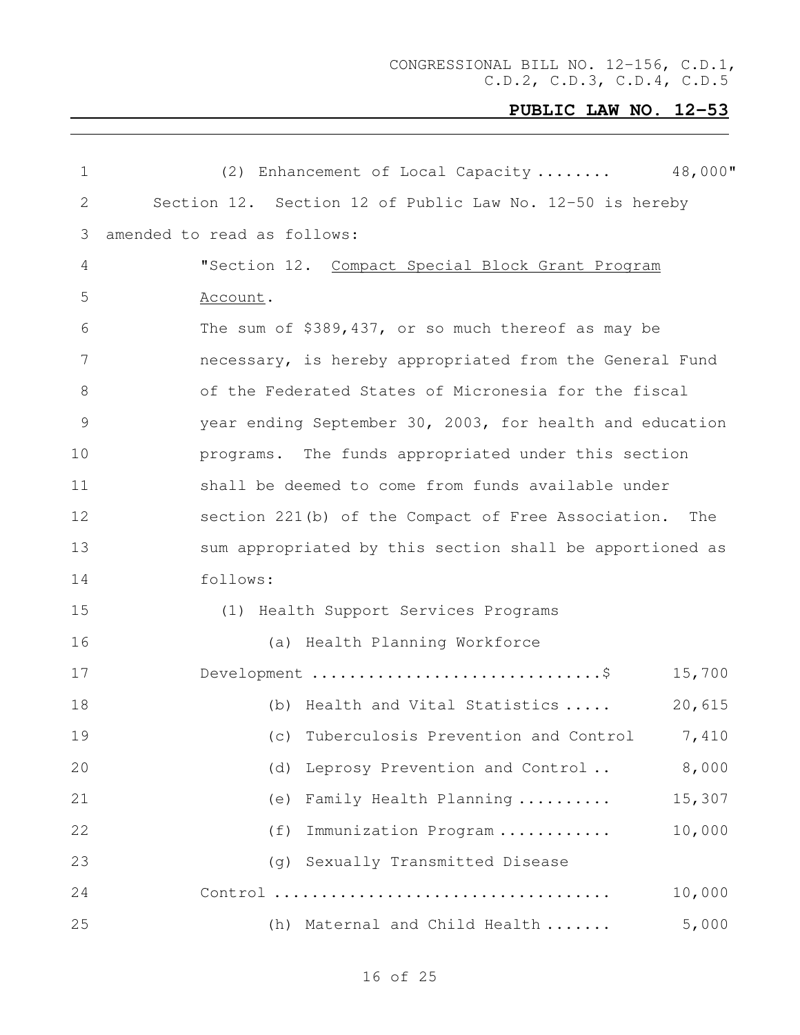| $\mathbf 1$    | 48,000"<br>(2) Enhancement of Local Capacity             |
|----------------|----------------------------------------------------------|
| 2              | Section 12. Section 12 of Public Law No. 12-50 is hereby |
| 3              | amended to read as follows:                              |
| 4              | "Section 12. Compact Special Block Grant Program         |
| 5              | Account.                                                 |
| 6              | The sum of \$389,437, or so much thereof as may be       |
| $\overline{7}$ | necessary, is hereby appropriated from the General Fund  |
| $8\,$          | of the Federated States of Micronesia for the fiscal     |
| $\mathsf 9$    | year ending September 30, 2003, for health and education |
| 10             | programs. The funds appropriated under this section      |
| 11             | shall be deemed to come from funds available under       |
| 12             | section 221(b) of the Compact of Free Association. The   |
| 13             | sum appropriated by this section shall be apportioned as |
| 14             | follows:                                                 |
| 15             | (1) Health Support Services Programs                     |
| 16             | (a) Health Planning Workforce                            |
| 17             | Development \$<br>15,700                                 |
| 18             | 20,615<br>(b) Health and Vital Statistics                |
| 19             | Tuberculosis Prevention and Control<br>7,410<br>(C)      |
| 20             | 8,000<br>Leprosy Prevention and Control<br>(d)           |
| 21             | Family Health Planning<br>15,307<br>(e)                  |
| 22             | Immunization Program<br>10,000<br>(f)                    |
| 23             | Sexually Transmitted Disease<br>(q)                      |
| 24             | 10,000                                                   |
| 25             | 5,000<br>(h) Maternal and Child Health                   |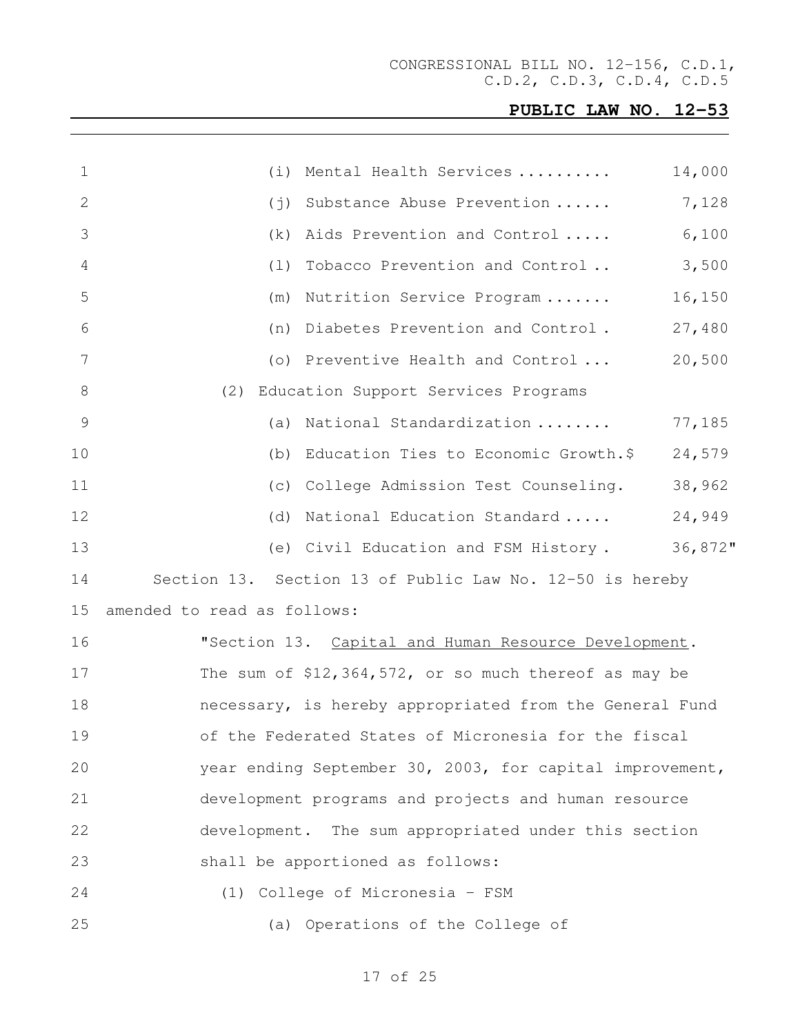CONGRESSIONAL BILL NO. 12-156, C.D.1, C.D.2, C.D.3, C.D.4, C.D.5

## **PUBLIC LAW NO. 12-53**

| $\mathbf 1$ | (i)                         | Mental Health Services                                   | 14,000  |
|-------------|-----------------------------|----------------------------------------------------------|---------|
| 2           | $(\,\dot{\exists}\,)$       | Substance Abuse Prevention                               | 7,128   |
| 3           | (k)                         | Aids Prevention and Control                              | 6,100   |
| 4           | (1)                         | Tobacco Prevention and Control                           | 3,500   |
| 5           | (m)                         | Nutrition Service Program                                | 16,150  |
| 6           | (n)                         | Diabetes Prevention and Control.                         | 27,480  |
| 7           |                             | (o) Preventive Health and Control                        | 20,500  |
| 8           | (2)                         | Education Support Services Programs                      |         |
| 9           | (a)                         | National Standardization                                 | 77,185  |
| 10          | (b)                         | Education Ties to Economic Growth.\$                     | 24,579  |
| 11          | (C)                         | College Admission Test Counseling.                       | 38,962  |
| 12          | (d)                         | National Education Standard                              | 24,949  |
| 13          |                             | (e) Civil Education and FSM History.                     | 36,872" |
| 14          |                             | Section 13. Section 13 of Public Law No. 12-50 is hereby |         |
| 15          | amended to read as follows: |                                                          |         |
| 16          |                             | "Section 13. Capital and Human Resource Development.     |         |
| 17          |                             | The sum of \$12,364,572, or so much thereof as may be    |         |
| 18          |                             | necessary, is hereby appropriated from the General Fund  |         |
| 19          |                             | of the Federated States of Micronesia for the fiscal     |         |
| 20          |                             | year ending September 30, 2003, for capital improvement, |         |
| 21          |                             | development programs and projects and human resource     |         |
| 22          |                             | development. The sum appropriated under this section     |         |
| 23          |                             | shall be apportioned as follows:                         |         |
| 24          |                             | (1) College of Micronesia - FSM                          |         |
| 25          |                             | (a) Operations of the College of                         |         |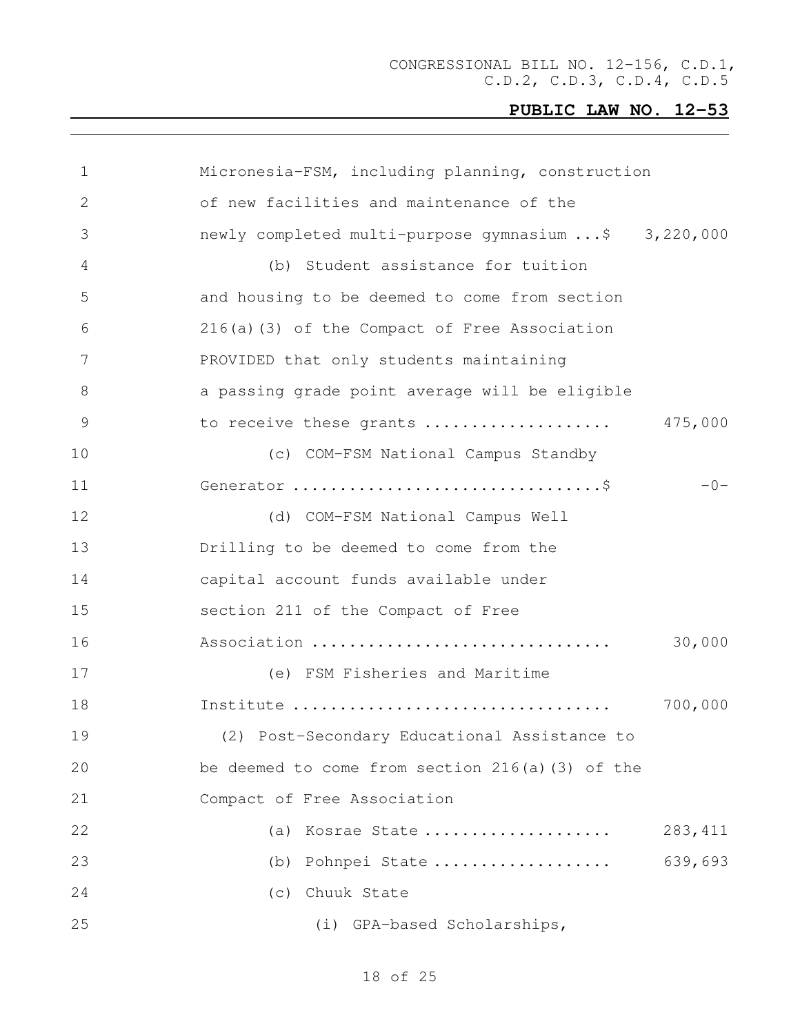| $\mathbf 1$     | Micronesia-FSM, including planning, construction     |          |
|-----------------|------------------------------------------------------|----------|
| 2               | of new facilities and maintenance of the             |          |
| 3               | newly completed multi-purpose gymnasium \$ 3,220,000 |          |
| 4               | (b) Student assistance for tuition                   |          |
| 5               | and housing to be deemed to come from section        |          |
| 6               | 216(a)(3) of the Compact of Free Association         |          |
| $7\phantom{.0}$ | PROVIDED that only students maintaining              |          |
| 8               | a passing grade point average will be eligible       |          |
| $\mathcal{G}$   | to receive these grants                              | 475,000  |
| 10              | (c) COM-FSM National Campus Standby                  |          |
| 11              |                                                      | $-0-$    |
| 12              | (d) COM-FSM National Campus Well                     |          |
| 13              | Drilling to be deemed to come from the               |          |
| 14              | capital account funds available under                |          |
| 15              | section 211 of the Compact of Free                   |          |
| 16              | Association                                          | 30,000   |
| 17              | (e) FSM Fisheries and Maritime                       |          |
| 18              | Institute                                            | 700,000  |
| 19              | (2) Post-Secondary Educational Assistance to         |          |
| 20              | be deemed to come from section 216(a)(3) of the      |          |
| 21              | Compact of Free Association                          |          |
| 22              | Kosrae State<br>(a)                                  | 283, 411 |
| 23              | Pohnpei State<br>(b)                                 | 639,693  |
| 24              | (c) Chuuk State                                      |          |
| 25              | (i) GPA-based Scholarships,                          |          |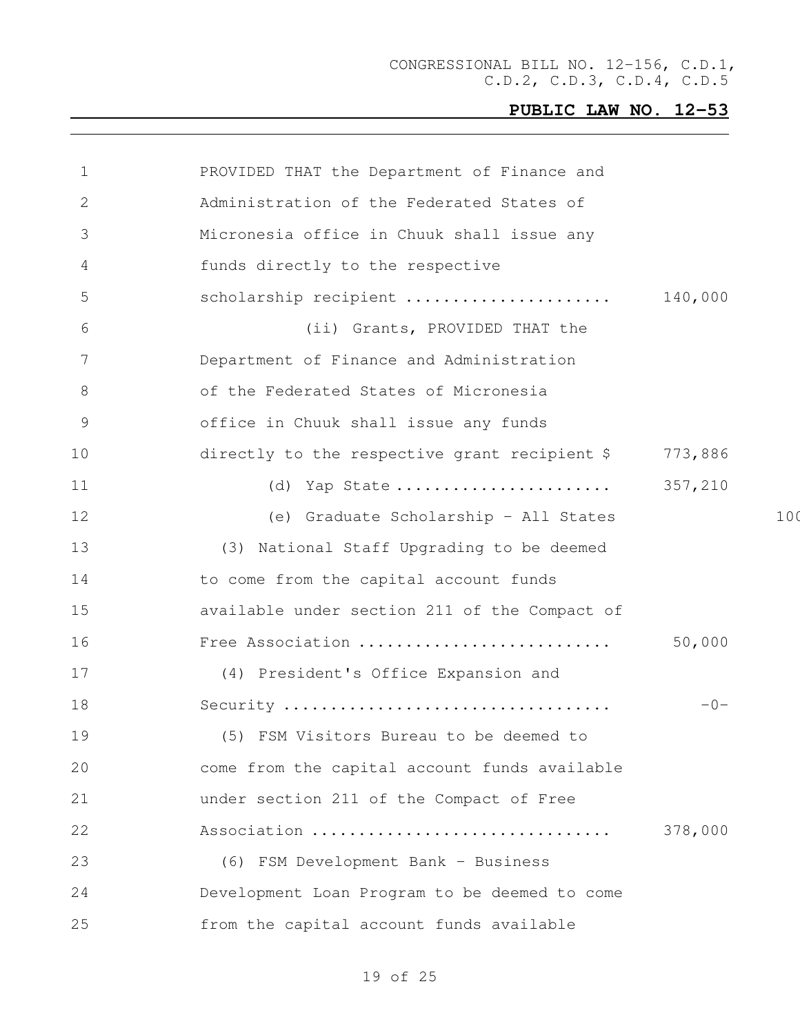| $\mathbf 1$   | PROVIDED THAT the Department of Finance and   |         |     |
|---------------|-----------------------------------------------|---------|-----|
| $\mathbf{2}$  | Administration of the Federated States of     |         |     |
| 3             | Micronesia office in Chuuk shall issue any    |         |     |
| 4             | funds directly to the respective              |         |     |
| 5             | scholarship recipient                         | 140,000 |     |
| 6             | (ii) Grants, PROVIDED THAT the                |         |     |
| 7             | Department of Finance and Administration      |         |     |
| 8             | of the Federated States of Micronesia         |         |     |
| $\mathcal{G}$ | office in Chuuk shall issue any funds         |         |     |
| 10            | directly to the respective grant recipient \$ | 773,886 |     |
| 11            | (d) Yap State                                 | 357,210 |     |
| 12            | (e) Graduate Scholarship - All States         |         | 100 |
| 13            | (3) National Staff Upgrading to be deemed     |         |     |
| 14            | to come from the capital account funds        |         |     |
| 15            | available under section 211 of the Compact of |         |     |
| 16            | Free Association                              | 50,000  |     |
| 17            | (4) President's Office Expansion and          |         |     |
| 18            | Security                                      | $-0-$   |     |
| 19            | (5) FSM Visitors Bureau to be deemed to       |         |     |
| 20            | come from the capital account funds available |         |     |
| 21            | under section 211 of the Compact of Free      |         |     |
| 22            | Association                                   | 378,000 |     |
| 23            | (6) FSM Development Bank - Business           |         |     |
| 24            | Development Loan Program to be deemed to come |         |     |
| 25            | from the capital account funds available      |         |     |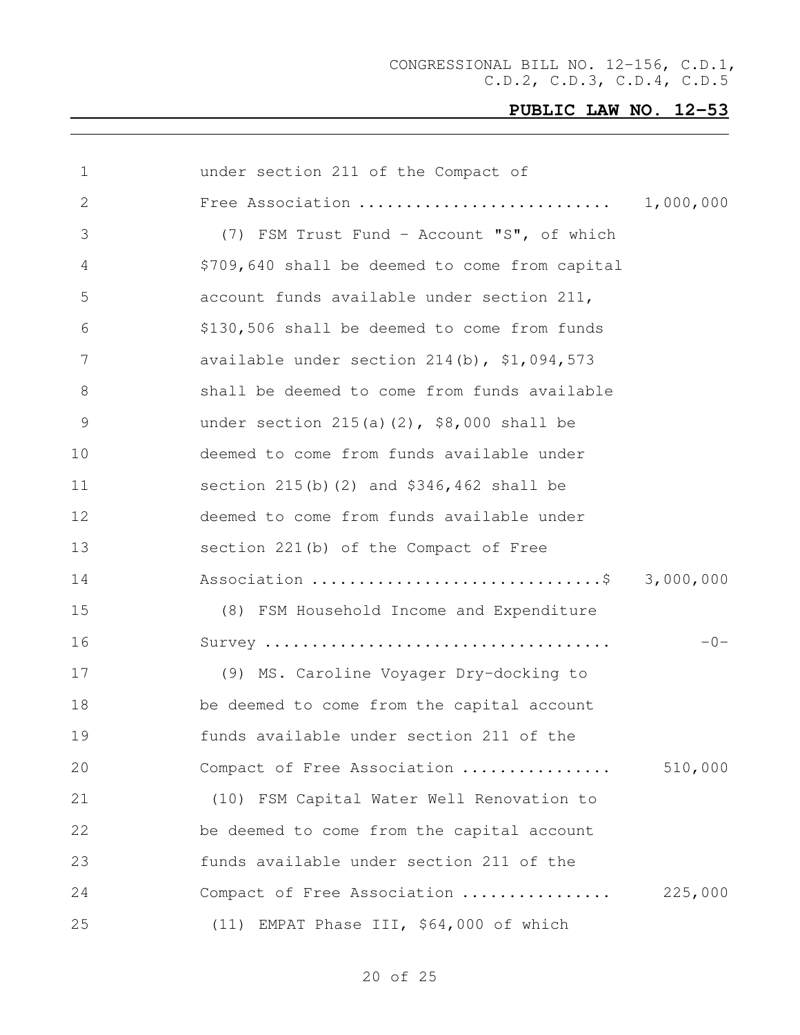|         | under section 211 of the Compact of             | 1             |
|---------|-------------------------------------------------|---------------|
|         |                                                 | 2             |
|         | (7) FSM Trust Fund - Account "S", of which      | 3             |
|         | \$709,640 shall be deemed to come from capital  | 4             |
|         | account funds available under section 211,      | 5             |
|         | \$130,506 shall be deemed to come from funds    | 6             |
|         | available under section $214(b)$ , $$1,094,573$ | 7             |
|         | shall be deemed to come from funds available    | 8             |
|         | under section $215(a)(2)$ , \$8,000 shall be    | $\mathcal{G}$ |
|         | deemed to come from funds available under       | 10            |
|         | section $215(b)$ (2) and $$346,462$ shall be    | 11            |
|         | deemed to come from funds available under       | 12            |
|         | section 221(b) of the Compact of Free           | 13            |
|         | Association \$ 3,000,000                        | 14            |
|         | (8) FSM Household Income and Expenditure        | 15            |
| $-0-$   |                                                 | 16            |
|         | (9) MS. Caroline Voyager Dry-docking to         | 17            |
|         | be deemed to come from the capital account      | 18            |
|         | funds available under section 211 of the        | 19            |
| 510,000 | Compact of Free Association                     | 20            |
|         | (10) FSM Capital Water Well Renovation to       | 21            |
|         | be deemed to come from the capital account      | 22            |
|         | funds available under section 211 of the        | 23            |
| 225,000 | Compact of Free Association                     | 24            |
|         | (11) EMPAT Phase III, \$64,000 of which         | 25            |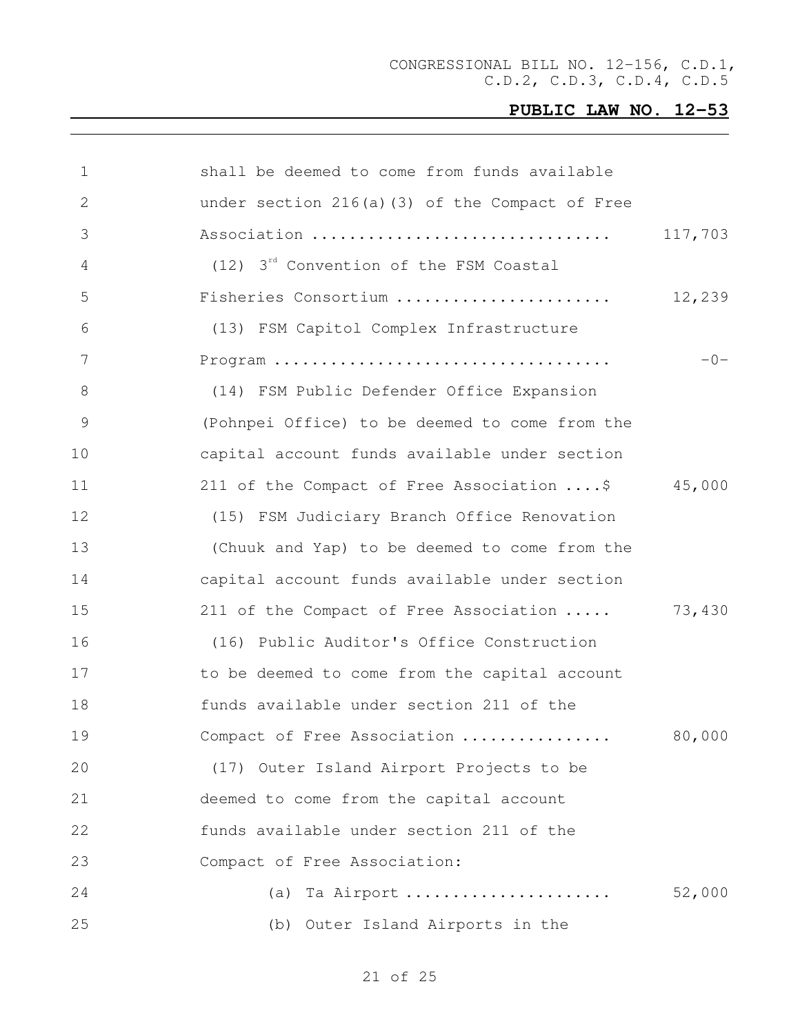| $\mathbf 1$   | shall be deemed to come from funds available       |         |
|---------------|----------------------------------------------------|---------|
| 2             | under section 216(a)(3) of the Compact of Free     |         |
| 3             | Association                                        | 117,703 |
| 4             | (12) 3 <sup>rd</sup> Convention of the FSM Coastal |         |
| 5             | Fisheries Consortium                               | 12,239  |
| 6             | (13) FSM Capitol Complex Infrastructure            |         |
| 7             |                                                    | $-0-$   |
| $8\,$         | (14) FSM Public Defender Office Expansion          |         |
| $\mathcal{G}$ | (Pohnpei Office) to be deemed to come from the     |         |
| 10            | capital account funds available under section      |         |
| 11            | 211 of the Compact of Free Association \$          | 45,000  |
| 12            | (15) FSM Judiciary Branch Office Renovation        |         |
| 13            | (Chuuk and Yap) to be deemed to come from the      |         |
| 14            | capital account funds available under section      |         |
| 15            | 211 of the Compact of Free Association             | 73,430  |
| 16            | (16) Public Auditor's Office Construction          |         |
| 17            | to be deemed to come from the capital account      |         |
| 18            | funds available under section 211 of the           |         |
| 19            | Compact of Free Association                        | 80,000  |
| 20            | (17) Outer Island Airport Projects to be           |         |
| 21            | deemed to come from the capital account            |         |
| 22            | funds available under section 211 of the           |         |
| 23            | Compact of Free Association:                       |         |
| 24            | Ta Airport<br>(a)                                  | 52,000  |
| 25            | (b) Outer Island Airports in the                   |         |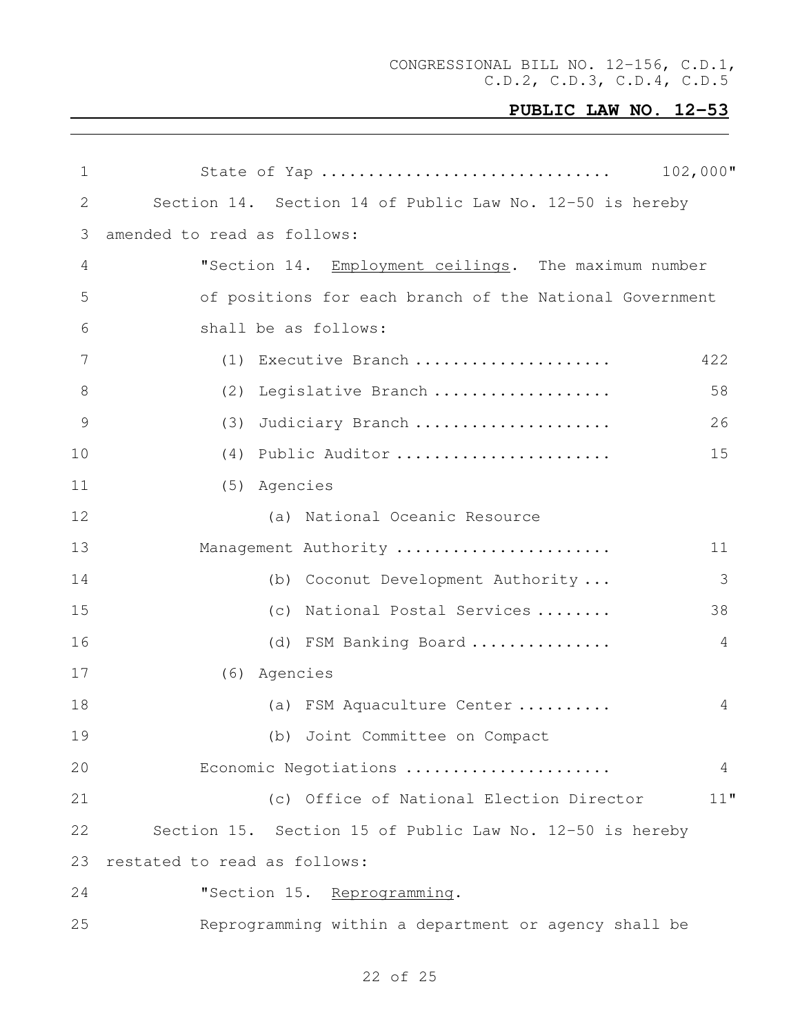CONGRESSIONAL BILL NO. 12-156, C.D.1, C.D.2, C.D.3, C.D.4, C.D.5

| 1               | State of Yap                                             | $102,000$ "    |
|-----------------|----------------------------------------------------------|----------------|
| 2               | Section 14. Section 14 of Public Law No. 12-50 is hereby |                |
| 3               | amended to read as follows:                              |                |
| $\overline{4}$  | "Section 14. Employment ceilings. The maximum number     |                |
| 5               | of positions for each branch of the National Government  |                |
| 6               | shall be as follows:                                     |                |
| $7\phantom{.0}$ | (1) Executive Branch                                     | 422            |
| 8               | (2)<br>Legislative Branch                                | 58             |
| $\mathcal{G}$   | Judiciary Branch<br>(3)                                  | 26             |
| 10              | (4) Public Auditor                                       | 15             |
| 11              | (5) Agencies                                             |                |
| 12              | (a) National Oceanic Resource                            |                |
| 13              | Management Authority                                     | 11             |
| 14              | (b) Coconut Development Authority                        | 3              |
| 15              | (c) National Postal Services                             | 38             |
| 16              | (d) FSM Banking Board                                    | 4              |
| 17              | (6) Agencies                                             |                |
| 18              | (a) FSM Aquaculture Center                               | $\overline{4}$ |
| 19              | (b) Joint Committee on Compact                           |                |
| 20              | Economic Negotiations                                    | 4              |
| 21              | (c) Office of National Election Director                 | 11"            |
| 22              | Section 15. Section 15 of Public Law No. 12-50 is hereby |                |
| 23              | restated to read as follows:                             |                |
| 24              | "Section 15. Reprogramming.                              |                |
| 25              | Reprogramming within a department or agency shall be     |                |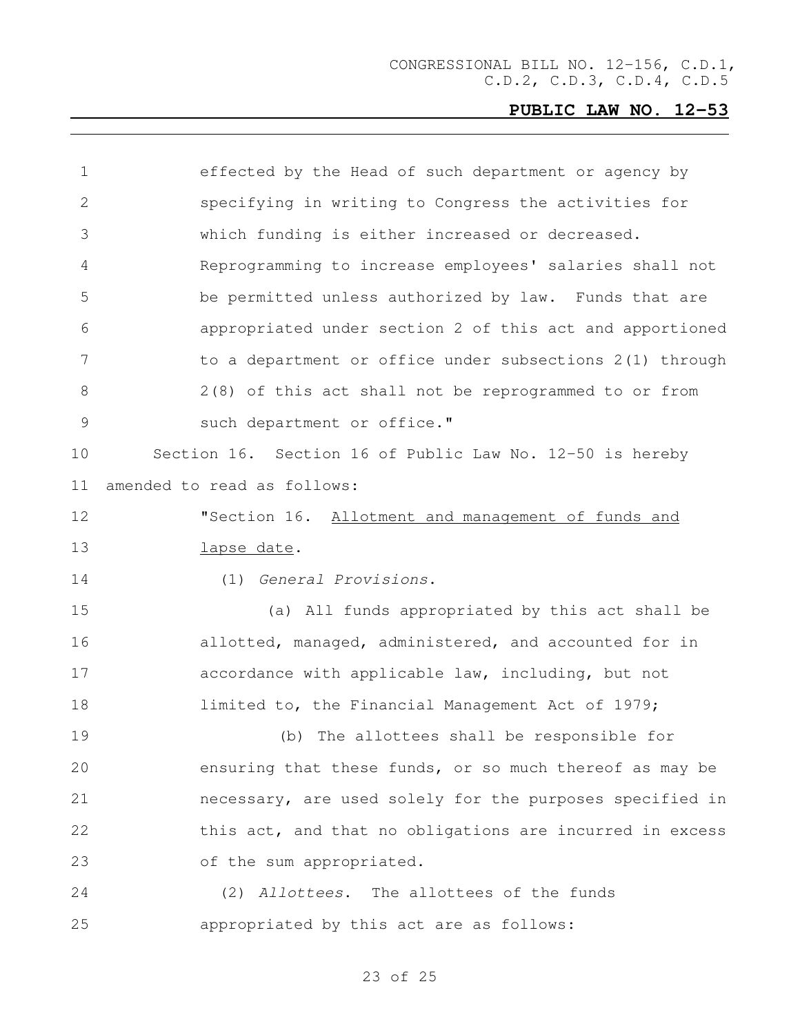| $\mathbf 1$    | effected by the Head of such department or agency by     |
|----------------|----------------------------------------------------------|
| 2              | specifying in writing to Congress the activities for     |
| 3              | which funding is either increased or decreased.          |
| 4              | Reprogramming to increase employees' salaries shall not  |
| 5              | be permitted unless authorized by law. Funds that are    |
| 6              | appropriated under section 2 of this act and apportioned |
| $\overline{7}$ | to a department or office under subsections 2(1) through |
| 8              | 2(8) of this act shall not be reprogrammed to or from    |
| $\mathsf 9$    | such department or office."                              |
| 10             | Section 16. Section 16 of Public Law No. 12-50 is hereby |
| 11             | amended to read as follows:                              |
| 12             | "Section 16. Allotment and management of funds and       |
| 13             | lapse date.                                              |
| 14             | (1) General Provisions.                                  |
| 15             | (a) All funds appropriated by this act shall be          |
| 16             | allotted, managed, administered, and accounted for in    |
| 17             | accordance with applicable law, including, but not       |
| 18             | limited to, the Financial Management Act of 1979;        |
| 19             | The allottees shall be responsible for<br>(b)            |
| 20             | ensuring that these funds, or so much thereof as may be  |
| 21             | necessary, are used solely for the purposes specified in |
| 22             | this act, and that no obligations are incurred in excess |
| 23             | of the sum appropriated.                                 |
| 24             | (2) Allottees. The allottees of the funds                |
| 25             | appropriated by this act are as follows:                 |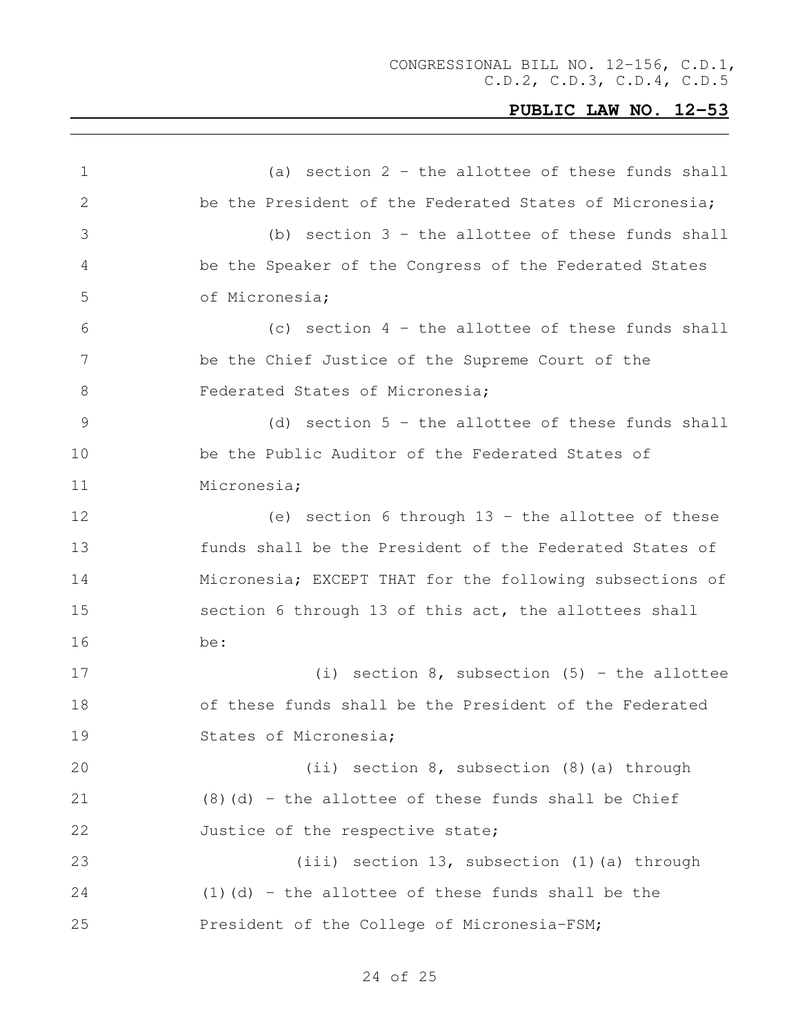(a) section 2 - the allottee of these funds shall be the President of the Federated States of Micronesia; (b) section 3 - the allottee of these funds shall be the Speaker of the Congress of the Federated States of Micronesia; (c) section 4 - the allottee of these funds shall be the Chief Justice of the Supreme Court of the 8 Federated States of Micronesia; (d) section 5 - the allottee of these funds shall be the Public Auditor of the Federated States of Micronesia; (e) section 6 through 13 - the allottee of these funds shall be the President of the Federated States of Micronesia; EXCEPT THAT for the following subsections of section 6 through 13 of this act, the allottees shall be: (i) section 8, subsection (5) - the allottee of these funds shall be the President of the Federated States of Micronesia; (ii) section 8, subsection (8)(a) through (8)(d) - the allottee of these funds shall be Chief 22 Justice of the respective state; (iii) section 13, subsection (1)(a) through (1)(d) - the allottee of these funds shall be the President of the College of Micronesia-FSM;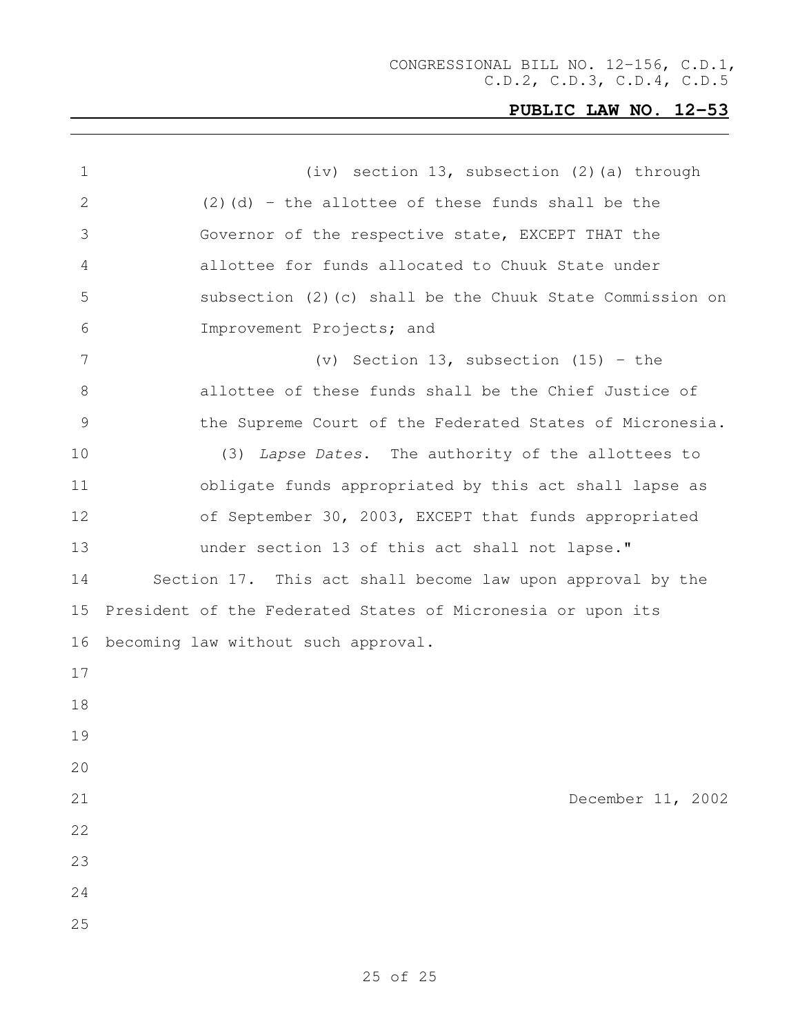| 1  | (iv) section 13, subsection (2) (a) through                 |
|----|-------------------------------------------------------------|
| 2  | $(2)$ (d) - the allottee of these funds shall be the        |
| 3  | Governor of the respective state, EXCEPT THAT the           |
| 4  | allottee for funds allocated to Chuuk State under           |
| 5  | subsection (2) (c) shall be the Chuuk State Commission on   |
| 6  | Improvement Projects; and                                   |
| 7  | (v) Section 13, subsection (15) - the                       |
| 8  | allottee of these funds shall be the Chief Justice of       |
| 9  | the Supreme Court of the Federated States of Micronesia.    |
| 10 | (3) Lapse Dates. The authority of the allottees to          |
| 11 | obligate funds appropriated by this act shall lapse as      |
| 12 | of September 30, 2003, EXCEPT that funds appropriated       |
| 13 | under section 13 of this act shall not lapse."              |
| 14 | Section 17. This act shall become law upon approval by the  |
| 15 | President of the Federated States of Micronesia or upon its |
| 16 | becoming law without such approval.                         |
| 17 |                                                             |
| 18 |                                                             |
| 19 |                                                             |
| 20 |                                                             |
| 21 | December 11, 2002                                           |
| 22 |                                                             |
| 23 |                                                             |
| 24 |                                                             |
| 25 |                                                             |